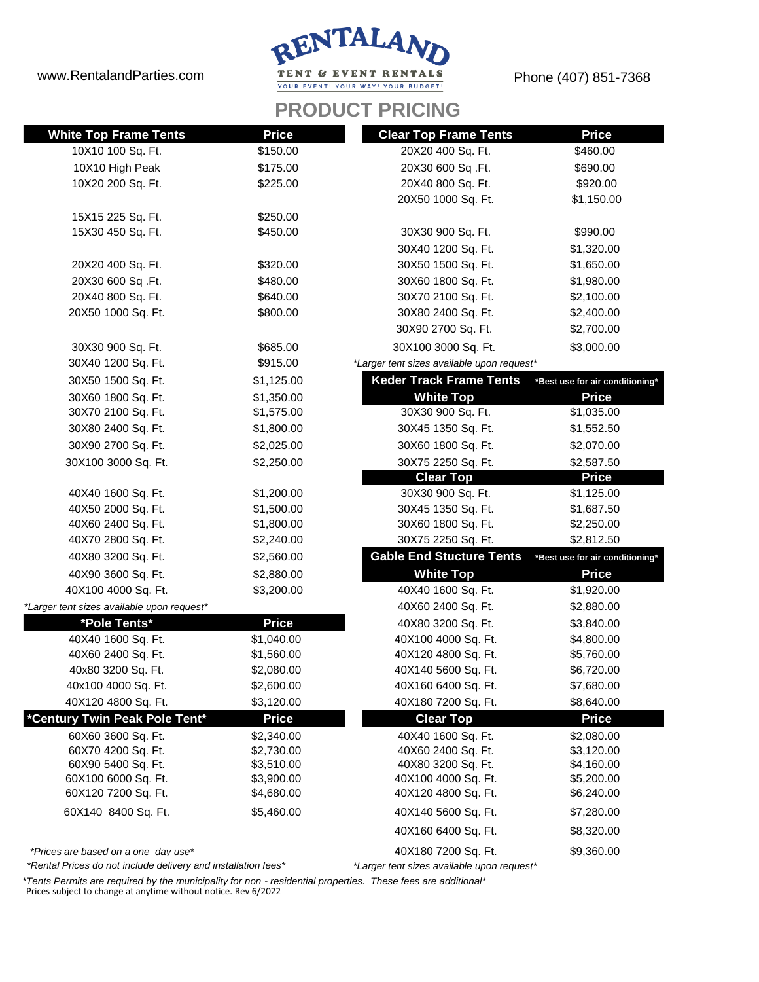www.RentalandParties.com



Phone (407) 851-7368

## **PRODUCT PRICING**

| <b>White Top Frame Tents</b>               | <b>Price</b> | <b>Clear Top Frame Tents</b>               | <b>Price</b>                    |
|--------------------------------------------|--------------|--------------------------------------------|---------------------------------|
| 10X10 100 Sq. Ft.                          | \$150.00     | 20X20 400 Sq. Ft.                          | \$460.00                        |
| 10X10 High Peak                            | \$175.00     | 20X30 600 Sq.Ft.                           | \$690.00                        |
| 10X20 200 Sq. Ft.                          | \$225.00     | 20X40 800 Sq. Ft.                          | \$920.00                        |
|                                            |              | 20X50 1000 Sq. Ft.                         | \$1,150.00                      |
| 15X15 225 Sq. Ft.                          | \$250.00     |                                            |                                 |
| 15X30 450 Sq. Ft.                          | \$450.00     | 30X30 900 Sq. Ft.                          | \$990.00                        |
|                                            |              | 30X40 1200 Sq. Ft.                         | \$1,320.00                      |
| 20X20 400 Sq. Ft.                          | \$320.00     | 30X50 1500 Sq. Ft.                         | \$1,650.00                      |
| 20X30 600 Sq.Ft.                           | \$480.00     | 30X60 1800 Sq. Ft.                         | \$1,980.00                      |
| 20X40 800 Sq. Ft.                          | \$640.00     | 30X70 2100 Sq. Ft.                         | \$2,100.00                      |
| 20X50 1000 Sq. Ft.                         | \$800.00     | 30X80 2400 Sq. Ft.                         | \$2,400.00                      |
|                                            |              | 30X90 2700 Sq. Ft.                         | \$2,700.00                      |
| 30X30 900 Sq. Ft.                          | \$685.00     | 30X100 3000 Sq. Ft.                        | \$3,000.00                      |
| 30X40 1200 Sq. Ft.                         | \$915.00     | *Larger tent sizes available upon request* |                                 |
| 30X50 1500 Sq. Ft.                         | \$1,125.00   | <b>Keder Track Frame Tents</b>             | *Best use for air conditioning* |
| 30X60 1800 Sq. Ft.                         | \$1,350.00   | <b>White Top</b>                           | <b>Price</b>                    |
| 30X70 2100 Sq. Ft.                         | \$1,575.00   | 30X30 900 Sq. Ft.                          | \$1,035.00                      |
| 30X80 2400 Sq. Ft.                         | \$1,800.00   | 30X45 1350 Sq. Ft.                         | \$1,552.50                      |
| 30X90 2700 Sq. Ft.                         | \$2,025.00   | 30X60 1800 Sq. Ft.                         | \$2,070.00                      |
| 30X100 3000 Sq. Ft.                        | \$2,250.00   | 30X75 2250 Sq. Ft.                         | \$2,587.50                      |
|                                            |              | <b>Clear Top</b>                           | <b>Price</b>                    |
| 40X40 1600 Sq. Ft.                         | \$1,200.00   | 30X30 900 Sq. Ft.                          | \$1,125.00                      |
| 40X50 2000 Sq. Ft.                         | \$1,500.00   | 30X45 1350 Sq. Ft.                         | \$1,687.50                      |
| 40X60 2400 Sq. Ft.                         | \$1,800.00   | 30X60 1800 Sq. Ft.                         | \$2,250.00                      |
| 40X70 2800 Sq. Ft.                         | \$2,240.00   | 30X75 2250 Sq. Ft.                         | \$2,812.50                      |
| 40X80 3200 Sq. Ft.                         | \$2,560.00   | <b>Gable End Stucture Tents</b>            | *Best use for air conditioning* |
| 40X90 3600 Sq. Ft.                         | \$2,880.00   | <b>White Top</b>                           | <b>Price</b>                    |
| 40X100 4000 Sq. Ft.                        | \$3,200.00   | 40X40 1600 Sq. Ft.                         | \$1,920.00                      |
| *Larger tent sizes available upon request* |              | 40X60 2400 Sq. Ft.                         | \$2,880.00                      |
| *Pole Tents*                               | <b>Price</b> | 40X80 3200 Sq. Ft.                         | \$3,840.00                      |
| 40X40 1600 Sq. Ft.                         | \$1,040.00   | 40X100 4000 Sq. Ft.                        | \$4,800.00                      |
| 40X60 2400 Sq. Ft.                         | \$1,560.00   | 40X120 4800 Sq. Ft.                        | \$5,760.00                      |
| 40x80 3200 Sq. Ft.                         | \$2,080.00   | 40X140 5600 Sq. Ft.                        | \$6,720.00                      |
| 40x100 4000 Sq. Ft.                        | \$2,600.00   | 40X160 6400 Sq. Ft.                        | \$7,680.00                      |
| 40X120 4800 Sq. Ft.                        | \$3,120.00   | 40X180 7200 Sq. Ft.                        | \$8,640.00                      |
| *Century Twin Peak Pole Tent*              | <b>Price</b> | <b>Clear Top</b>                           | <b>Price</b>                    |
| 60X60 3600 Sq. Ft.                         | \$2,340.00   | 40X40 1600 Sq. Ft.                         | \$2,080.00                      |
| 60X70 4200 Sq. Ft.                         | \$2,730.00   | 40X60 2400 Sq. Ft.                         | \$3,120.00                      |
| 60X90 5400 Sq. Ft.                         | \$3,510.00   | 40X80 3200 Sq. Ft.                         | \$4,160.00                      |
| 60X100 6000 Sq. Ft.                        | \$3,900.00   | 40X100 4000 Sq. Ft.                        | \$5,200.00                      |
| 60X120 7200 Sq. Ft.                        | \$4,680.00   | 40X120 4800 Sq. Ft.                        | \$6,240.00                      |
| 60X140 8400 Sq. Ft.                        | \$5,460.00   | 40X140 5600 Sq. Ft.                        | \$7,280.00                      |
|                                            |              | 40X160 6400 Sq. Ft.                        | \$8,320.00                      |
| *Prices are based on a one day use*        |              | 40X180 7200 Sq. Ft.                        | \$9,360.00                      |

*\*Rental Prices do not include delivery and installation fees\**

*\*Larger tent sizes available upon request\**

*\*Tents Permits are required by the municipality for non - residential properties. These fees are additional\** Prices subject to change at anytime without notice. Rev 6/2022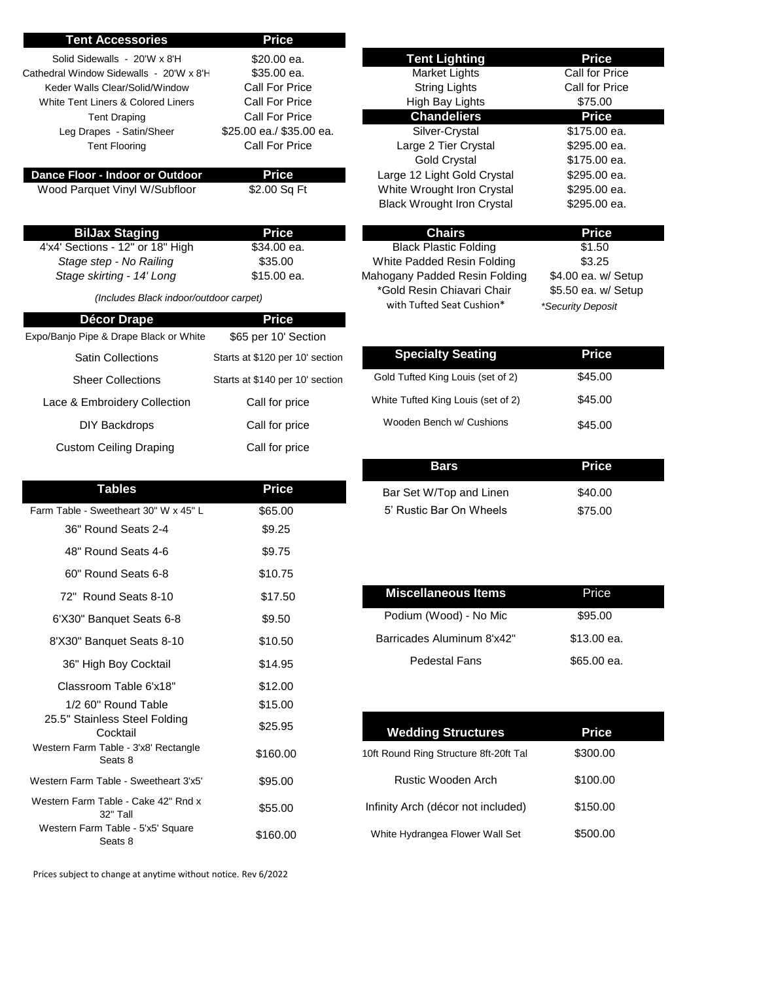| <b>Tent Accessories</b>                          | <b>Price</b>                               |                                                         |                                          |
|--------------------------------------------------|--------------------------------------------|---------------------------------------------------------|------------------------------------------|
| Solid Sidewalls - 20'W x 8'H                     | \$20.00 ea.                                | <b>Tent Lighting</b>                                    | <b>Price</b>                             |
| Cathedral Window Sidewalls - 20'W x 8'H          | \$35.00 ea.                                | Market Lights                                           | Call for Price                           |
| Keder Walls Clear/Solid/Window                   | Call For Price                             | <b>String Lights</b>                                    | Call for Price                           |
| White Tent Liners & Colored Liners               | Call For Price                             | High Bay Lights                                         | \$75.00                                  |
| <b>Tent Draping</b>                              | Call For Price<br>\$25.00 ea./ \$35.00 ea. | <b>Chandeliers</b><br>Silver-Crystal                    | <b>Price</b><br>\$175.00 ea.             |
| Leg Drapes - Satin/Sheer<br><b>Tent Flooring</b> | Call For Price                             | Large 2 Tier Crystal                                    | \$295.00 ea.                             |
|                                                  |                                            | <b>Gold Crystal</b>                                     | \$175.00 ea.                             |
| Dance Floor - Indoor or Outdoor                  | <b>Price</b>                               | Large 12 Light Gold Crystal                             | \$295.00 ea.                             |
| Wood Parquet Vinyl W/Subfloor                    | \$2.00 Sq Ft                               | White Wrought Iron Crystal                              | \$295.00 ea.                             |
|                                                  |                                            | <b>Black Wrought Iron Crystal</b>                       | \$295.00 ea.                             |
| <b>BilJax Staging</b>                            | <b>Price</b>                               | <b>Chairs</b>                                           | <b>Price</b>                             |
| 4'x4' Sections - 12" or 18" High                 | \$34.00 ea.                                | <b>Black Plastic Folding</b>                            | \$1.50                                   |
| Stage step - No Railing                          | \$35.00                                    | White Padded Resin Folding                              | \$3.25                                   |
| Stage skirting - 14' Long                        | \$15.00 ea.                                | Mahogany Padded Resin Folding                           | \$4.00 ea. w/ Setup                      |
| (Includes Black indoor/outdoor carpet)           |                                            | *Gold Resin Chiavari Chair<br>with Tufted Seat Cushion* | \$5.50 ea. w/ Setup<br>*Security Deposit |
| <b>Décor Drape</b>                               | <b>Price</b>                               |                                                         |                                          |
| Expo/Banjo Pipe & Drape Black or White           | \$65 per 10' Section                       |                                                         |                                          |
| <b>Satin Collections</b>                         | Starts at \$120 per 10' section            | <b>Specialty Seating</b>                                | <b>Price</b>                             |
| <b>Sheer Collections</b>                         | Starts at \$140 per 10' section            | Gold Tufted King Louis (set of 2)                       | \$45.00                                  |
| Lace & Embroidery Collection                     | Call for price                             | White Tufted King Louis (set of 2)                      | \$45.00                                  |
| DIY Backdrops                                    | Call for price                             | Wooden Bench w/ Cushions                                | \$45.00                                  |
| <b>Custom Ceiling Draping</b>                    | Call for price                             |                                                         |                                          |
|                                                  |                                            | <b>Bars</b>                                             | <b>Price</b>                             |
| <b>Tables</b>                                    | <b>Price</b>                               | Bar Set W/Top and Linen                                 | \$40.00                                  |
| Farm Table - Sweetheart 30" W x 45" L            | \$65.00                                    | 5' Rustic Bar On Wheels                                 | \$75.00                                  |
| 36" Round Seats 2-4                              | \$9.25                                     |                                                         |                                          |
| 48" Round Seats 4-6                              | \$9.75                                     |                                                         |                                          |
| 60" Round Seats 6-8                              | \$10.75                                    |                                                         |                                          |
| 72" Round Seats 8-10                             | \$17.50                                    | <b>Miscellaneous Items</b>                              | Price                                    |
| 6'X30" Banquet Seats 6-8                         | \$9.50                                     | Podium (Wood) - No Mic                                  | \$95.00                                  |
| 8'X30" Banquet Seats 8-10                        | \$10.50                                    | Barricades Aluminum 8'x42"                              | \$13.00 ea.                              |
| 36" High Boy Cocktail                            | \$14.95                                    | <b>Pedestal Fans</b>                                    | \$65.00 ea.                              |
| Classroom Table 6'x18"                           | \$12.00                                    |                                                         |                                          |
| 1/2 60" Round Table                              | \$15.00                                    |                                                         |                                          |
| 25.5" Stainless Steel Folding<br>Cocktail        | \$25.95                                    | <b>Wedding Structures</b>                               | <b>Price</b>                             |
| Western Farm Table - 3'x8' Rectangle<br>Seats 8  | \$160.00                                   | 10ft Round Ring Structure 8ft-20ft Tal                  | \$300.00                                 |
| Western Farm Table - Sweetheart 3'x5'            | \$95.00                                    | Rustic Wooden Arch                                      | \$100.00                                 |
| Western Farm Table - Cake 42" Rnd x<br>32" Tall  | \$55.00                                    | Infinity Arch (décor not included)                      | \$150.00                                 |
| Western Farm Table - 5'x5' Square<br>Seats 8     | \$160.00                                   | White Hydrangea Flower Wall Set                         | \$500.00                                 |
|                                                  |                                            |                                                         |                                          |

Prices subject to change at anytime without notice. Rev 6/2022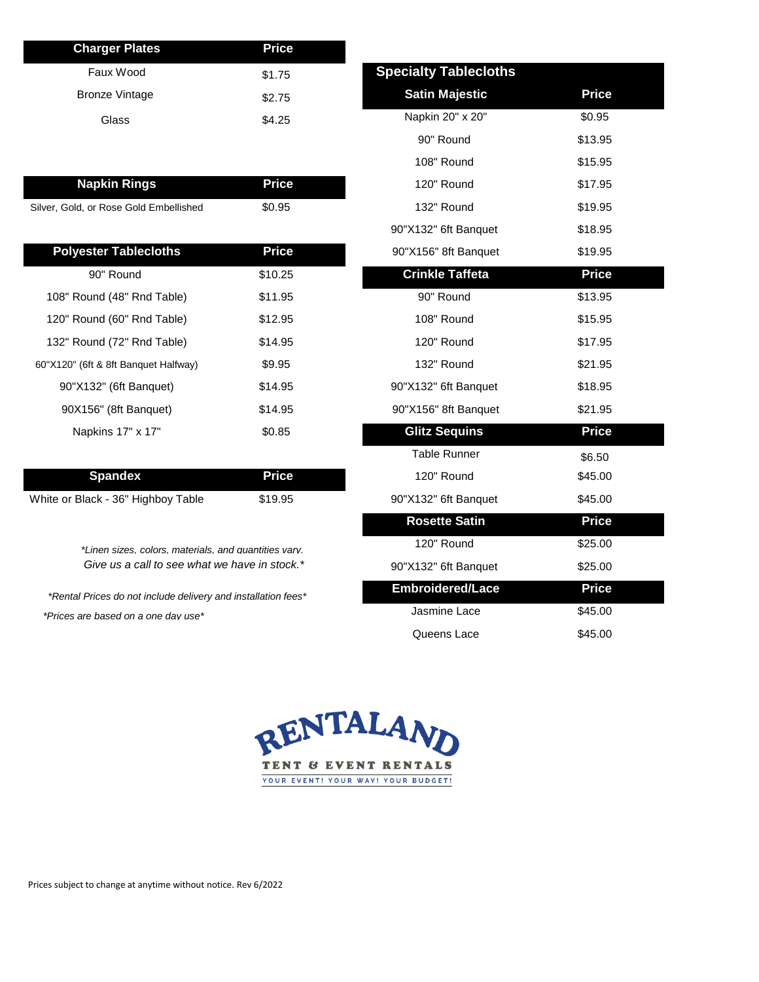| <b>Charger Plates</b> | <b>Price</b> |                              |        |
|-----------------------|--------------|------------------------------|--------|
| Faux Wood             | \$1.75       | <b>Specialty Tablecloths</b> |        |
| <b>Bronze Vintage</b> | \$2.75       | <b>Satin Majestic</b>        | Price  |
| Glass                 | \$4.25       | Napkin 20" x 20"             | \$0.95 |
|                       |              |                              |        |

| <b>Napkin Rings</b>                    | Price' | 120" Round | \$17.95 |
|----------------------------------------|--------|------------|---------|
| Silver, Gold, or Rose Gold Embellished | \$0.95 | 132" Round | \$19.95 |

| <b>Polyester Tablecloths</b>         | <b>Price</b> | 90"X156" 8ft Banquet   | \$19.95      |
|--------------------------------------|--------------|------------------------|--------------|
| 90" Round                            | \$10.25      | <b>Crinkle Taffeta</b> | <b>Price</b> |
| 108" Round (48" Rnd Table)           | \$11.95      | 90" Round              | \$13.95      |
| 120" Round (60" Rnd Table)           | \$12.95      | 108" Round             | \$15.95      |
| 132" Round (72" Rnd Table)           | \$14.95      | 120" Round             | \$17.95      |
| 60"X120" (6ft & 8ft Banquet Halfway) | \$9.95       | 132" Round             | \$21.95      |
| 90"X132" (6ft Banquet)               | \$14.95      | 90"X132" 6ft Banquet   | \$18.95      |
| 90X156" (8ft Banquet)                | \$14.95      | 90"X156" 8ft Banquet   | \$21.95      |
| Napkins 17" x 17"                    | \$0.85       | <b>Glitz Sequins</b>   | <b>Price</b> |

| <b>Spandex</b>                     | Price \ | 120" Round           | \$45.00 |
|------------------------------------|---------|----------------------|---------|
| White or Black - 36" Highboy Table | \$19.95 | 90"X132" 6ft Banquet | \$45.00 |

*\*Linen sizes, colors, materials, and quantities vary. Give us a call to see what we have in stock.\**

*\*Rental Prices do not include delivery and installation fees\* \*Prices are based on a one day use\**

| <b>Specialty Tablecloths</b> |              |
|------------------------------|--------------|
| <b>Satin Majestic</b>        | <b>Price</b> |
| Napkin 20" x 20"             | \$0.95       |
| 90" Round                    | \$13.95      |
| 108" Round                   | \$15.95      |
| 120" Round                   | \$17.95      |
| 132" Round                   | \$19.95      |
| 90"X132" 6ft Banquet         | \$18.95      |
| 90"X156" 8ft Banquet         | \$19.95      |
| <b>Crinkle Taffeta</b>       | <b>Price</b> |
| 90" Round                    | \$13.95      |
| 108" Round                   | \$15.95      |
| 120" Round                   | \$17.95      |
| 132" Round                   | \$21.95      |
| 90"X132" 6ft Banquet         | \$18.95      |
| 90"X156" 8ft Banquet         | \$21.95      |
| <b>Glitz Sequins</b>         | <b>Price</b> |
| Table Runner                 | \$6.50       |
| 120" Round                   | \$45.00      |
| 90"X132" 6ft Banquet         | \$45.00      |
| <b>Rosette Satin</b>         | <b>Price</b> |
| 120" Round                   | \$25.00      |
| 90"X132" 6ft Banquet         | \$25.00      |
| <b>Embroidered/Lace</b>      | <b>Price</b> |
| Jasmine Lace                 | \$45.00      |
| Queens Lace                  | \$45.00      |



Prices subject to change at anytime without notice. Rev 6/2022